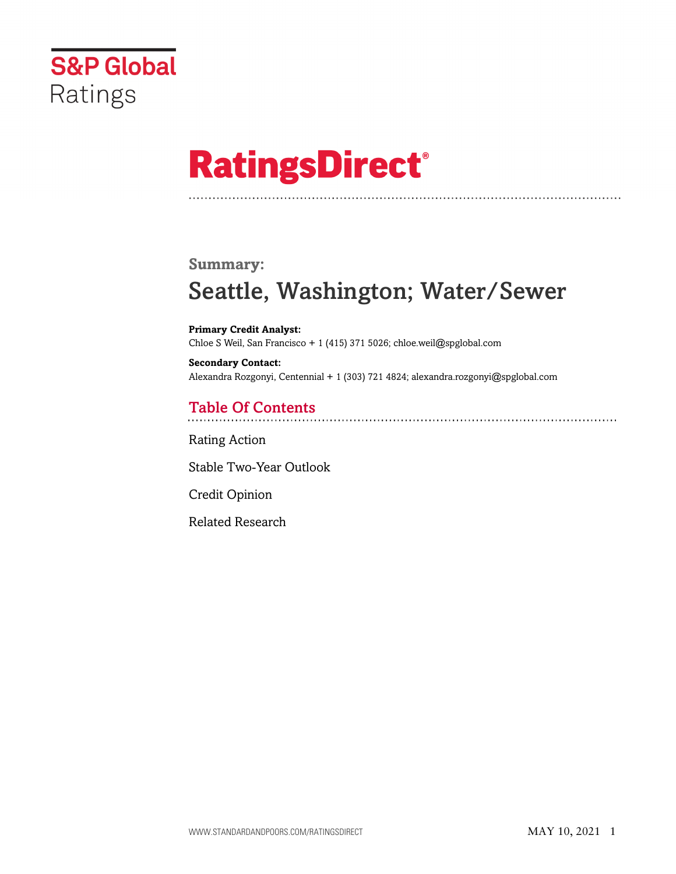

# **RatingsDirect®**

### **Summary:**

# Seattle, Washington; Water/Sewer

**Primary Credit Analyst:** Chloe S Weil, San Francisco + 1 (415) 371 5026; chloe.weil@spglobal.com

**Secondary Contact:** Alexandra Rozgonyi, Centennial + 1 (303) 721 4824; alexandra.rozgonyi@spglobal.com

# Table Of Contents

[Rating Action](#page-1-0)

[Stable Two-Year Outlook](#page-3-0)

[Credit Opinion](#page-4-0)

[Related Research](#page-4-1)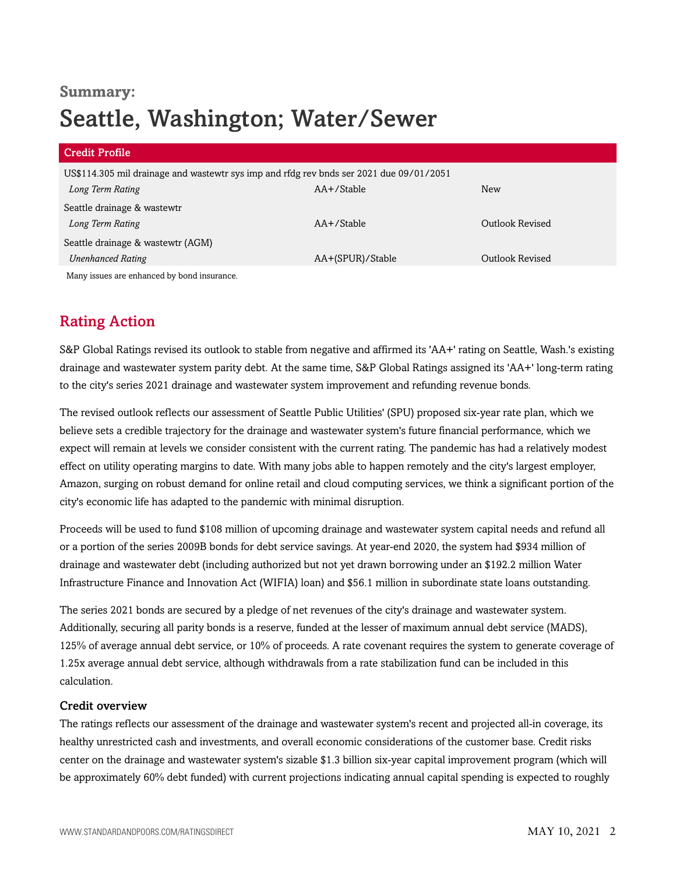# **Summary:** Seattle, Washington; Water/Sewer

| <b>Credit Profile</b>                                                                   |                  |                 |
|-----------------------------------------------------------------------------------------|------------------|-----------------|
| US\$114.305 mil drainage and wastewtr sys imp and rfdg rev bnds ser 2021 due 09/01/2051 |                  |                 |
| Long Term Rating                                                                        | $AA + /$ Stable  | <b>New</b>      |
| Seattle drainage & wastewtr                                                             |                  |                 |
| Long Term Rating                                                                        | $AA + /$ Stable  | Outlook Revised |
| Seattle drainage & wastewtr (AGM)                                                       |                  |                 |
| <b>Unenhanced Rating</b>                                                                | AA+(SPUR)/Stable | Outlook Revised |
| Many issues are enhanced by bond insurance.                                             |                  |                 |

# <span id="page-1-0"></span>Rating Action

S&P Global Ratings revised its outlook to stable from negative and affirmed its 'AA+' rating on Seattle, Wash.'s existing drainage and wastewater system parity debt. At the same time, S&P Global Ratings assigned its 'AA+' long-term rating to the city's series 2021 drainage and wastewater system improvement and refunding revenue bonds.

The revised outlook reflects our assessment of Seattle Public Utilities' (SPU) proposed six-year rate plan, which we believe sets a credible trajectory for the drainage and wastewater system's future financial performance, which we expect will remain at levels we consider consistent with the current rating. The pandemic has had a relatively modest effect on utility operating margins to date. With many jobs able to happen remotely and the city's largest employer, Amazon, surging on robust demand for online retail and cloud computing services, we think a significant portion of the city's economic life has adapted to the pandemic with minimal disruption.

Proceeds will be used to fund \$108 million of upcoming drainage and wastewater system capital needs and refund all or a portion of the series 2009B bonds for debt service savings. At year-end 2020, the system had \$934 million of drainage and wastewater debt (including authorized but not yet drawn borrowing under an \$192.2 million Water Infrastructure Finance and Innovation Act (WIFIA) loan) and \$56.1 million in subordinate state loans outstanding.

The series 2021 bonds are secured by a pledge of net revenues of the city's drainage and wastewater system. Additionally, securing all parity bonds is a reserve, funded at the lesser of maximum annual debt service (MADS), 125% of average annual debt service, or 10% of proceeds. A rate covenant requires the system to generate coverage of 1.25x average annual debt service, although withdrawals from a rate stabilization fund can be included in this calculation.

#### Credit overview

The ratings reflects our assessment of the drainage and wastewater system's recent and projected all-in coverage, its healthy unrestricted cash and investments, and overall economic considerations of the customer base. Credit risks center on the drainage and wastewater system's sizable \$1.3 billion six-year capital improvement program (which will be approximately 60% debt funded) with current projections indicating annual capital spending is expected to roughly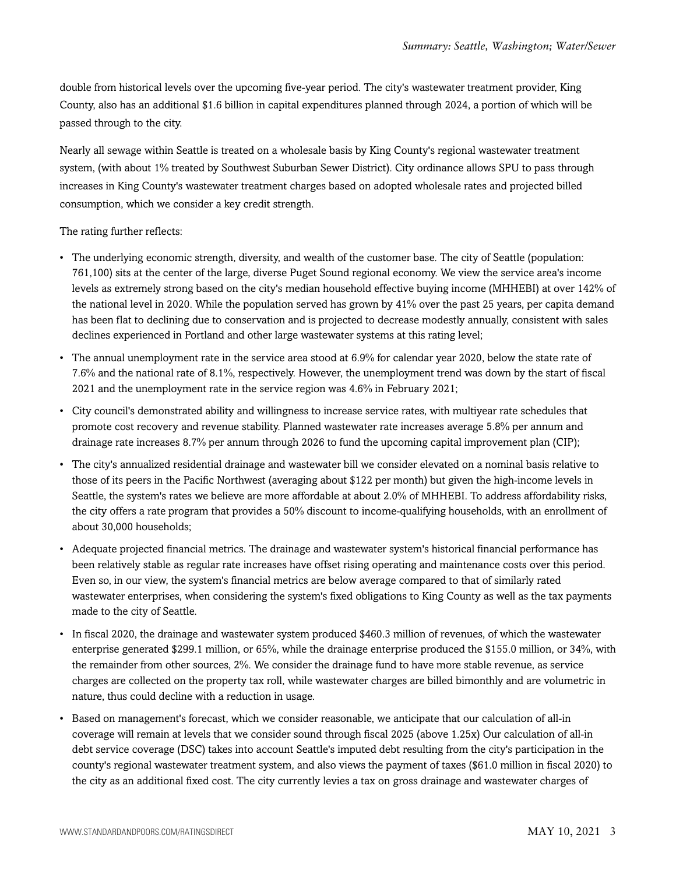double from historical levels over the upcoming five-year period. The city's wastewater treatment provider, King County, also has an additional \$1.6 billion in capital expenditures planned through 2024, a portion of which will be passed through to the city.

Nearly all sewage within Seattle is treated on a wholesale basis by King County's regional wastewater treatment system, (with about 1% treated by Southwest Suburban Sewer District). City ordinance allows SPU to pass through increases in King County's wastewater treatment charges based on adopted wholesale rates and projected billed consumption, which we consider a key credit strength.

#### The rating further reflects:

- The underlying economic strength, diversity, and wealth of the customer base. The city of Seattle (population: 761,100) sits at the center of the large, diverse Puget Sound regional economy. We view the service area's income levels as extremely strong based on the city's median household effective buying income (MHHEBI) at over 142% of the national level in 2020. While the population served has grown by 41% over the past 25 years, per capita demand has been flat to declining due to conservation and is projected to decrease modestly annually, consistent with sales declines experienced in Portland and other large wastewater systems at this rating level;
- The annual unemployment rate in the service area stood at 6.9% for calendar year 2020, below the state rate of 7.6% and the national rate of 8.1%, respectively. However, the unemployment trend was down by the start of fiscal 2021 and the unemployment rate in the service region was 4.6% in February 2021;
- City council's demonstrated ability and willingness to increase service rates, with multiyear rate schedules that promote cost recovery and revenue stability. Planned wastewater rate increases average 5.8% per annum and drainage rate increases 8.7% per annum through 2026 to fund the upcoming capital improvement plan (CIP);
- The city's annualized residential drainage and wastewater bill we consider elevated on a nominal basis relative to those of its peers in the Pacific Northwest (averaging about \$122 per month) but given the high-income levels in Seattle, the system's rates we believe are more affordable at about 2.0% of MHHEBI. To address affordability risks, the city offers a rate program that provides a 50% discount to income-qualifying households, with an enrollment of about 30,000 households;
- Adequate projected financial metrics. The drainage and wastewater system's historical financial performance has been relatively stable as regular rate increases have offset rising operating and maintenance costs over this period. Even so, in our view, the system's financial metrics are below average compared to that of similarly rated wastewater enterprises, when considering the system's fixed obligations to King County as well as the tax payments made to the city of Seattle.
- In fiscal 2020, the drainage and wastewater system produced \$460.3 million of revenues, of which the wastewater enterprise generated \$299.1 million, or 65%, while the drainage enterprise produced the \$155.0 million, or 34%, with the remainder from other sources, 2%. We consider the drainage fund to have more stable revenue, as service charges are collected on the property tax roll, while wastewater charges are billed bimonthly and are volumetric in nature, thus could decline with a reduction in usage.
- Based on management's forecast, which we consider reasonable, we anticipate that our calculation of all-in coverage will remain at levels that we consider sound through fiscal 2025 (above 1.25x) Our calculation of all-in debt service coverage (DSC) takes into account Seattle's imputed debt resulting from the city's participation in the county's regional wastewater treatment system, and also views the payment of taxes (\$61.0 million in fiscal 2020) to the city as an additional fixed cost. The city currently levies a tax on gross drainage and wastewater charges of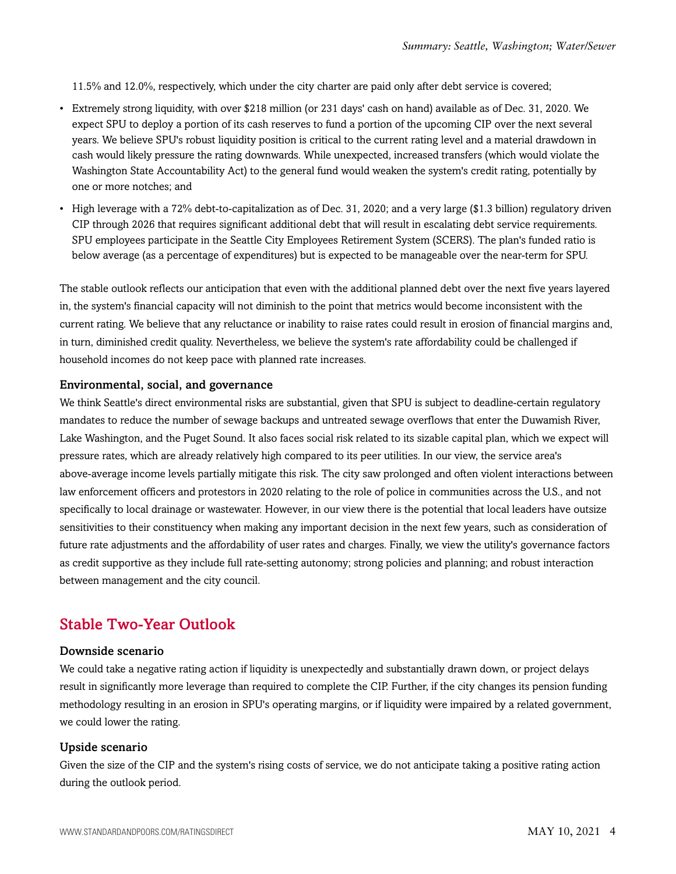11.5% and 12.0%, respectively, which under the city charter are paid only after debt service is covered;

- Extremely strong liquidity, with over \$218 million (or 231 days' cash on hand) available as of Dec. 31, 2020. We expect SPU to deploy a portion of its cash reserves to fund a portion of the upcoming CIP over the next several years. We believe SPU's robust liquidity position is critical to the current rating level and a material drawdown in cash would likely pressure the rating downwards. While unexpected, increased transfers (which would violate the Washington State Accountability Act) to the general fund would weaken the system's credit rating, potentially by one or more notches; and
- High leverage with a 72% debt-to-capitalization as of Dec. 31, 2020; and a very large (\$1.3 billion) regulatory driven CIP through 2026 that requires significant additional debt that will result in escalating debt service requirements. SPU employees participate in the Seattle City Employees Retirement System (SCERS). The plan's funded ratio is below average (as a percentage of expenditures) but is expected to be manageable over the near-term for SPU.

The stable outlook reflects our anticipation that even with the additional planned debt over the next five years layered in, the system's financial capacity will not diminish to the point that metrics would become inconsistent with the current rating. We believe that any reluctance or inability to raise rates could result in erosion of financial margins and, in turn, diminished credit quality. Nevertheless, we believe the system's rate affordability could be challenged if household incomes do not keep pace with planned rate increases.

#### Environmental, social, and governance

We think Seattle's direct environmental risks are substantial, given that SPU is subject to deadline-certain regulatory mandates to reduce the number of sewage backups and untreated sewage overflows that enter the Duwamish River, Lake Washington, and the Puget Sound. It also faces social risk related to its sizable capital plan, which we expect will pressure rates, which are already relatively high compared to its peer utilities. In our view, the service area's above-average income levels partially mitigate this risk. The city saw prolonged and often violent interactions between law enforcement officers and protestors in 2020 relating to the role of police in communities across the U.S., and not specifically to local drainage or wastewater. However, in our view there is the potential that local leaders have outsize sensitivities to their constituency when making any important decision in the next few years, such as consideration of future rate adjustments and the affordability of user rates and charges. Finally, we view the utility's governance factors as credit supportive as they include full rate-setting autonomy; strong policies and planning; and robust interaction between management and the city council.

### <span id="page-3-0"></span>Stable Two-Year Outlook

#### Downside scenario

We could take a negative rating action if liquidity is unexpectedly and substantially drawn down, or project delays result in significantly more leverage than required to complete the CIP. Further, if the city changes its pension funding methodology resulting in an erosion in SPU's operating margins, or if liquidity were impaired by a related government, we could lower the rating.

#### Upside scenario

Given the size of the CIP and the system's rising costs of service, we do not anticipate taking a positive rating action during the outlook period.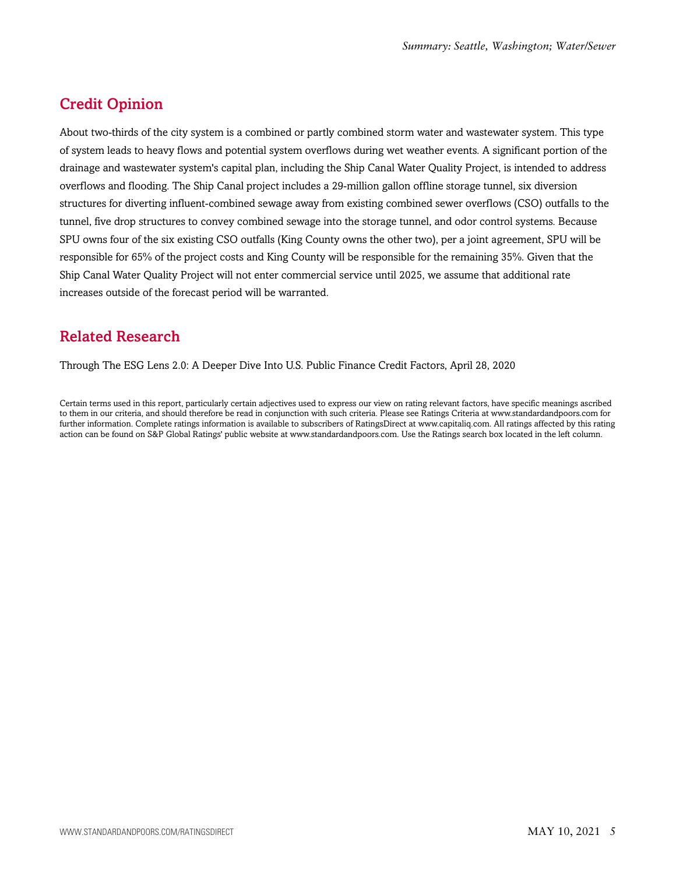# <span id="page-4-0"></span>Credit Opinion

About two-thirds of the city system is a combined or partly combined storm water and wastewater system. This type of system leads to heavy flows and potential system overflows during wet weather events. A significant portion of the drainage and wastewater system's capital plan, including the Ship Canal Water Quality Project, is intended to address overflows and flooding. The Ship Canal project includes a 29-million gallon offline storage tunnel, six diversion structures for diverting influent-combined sewage away from existing combined sewer overflows (CSO) outfalls to the tunnel, five drop structures to convey combined sewage into the storage tunnel, and odor control systems. Because SPU owns four of the six existing CSO outfalls (King County owns the other two), per a joint agreement, SPU will be responsible for 65% of the project costs and King County will be responsible for the remaining 35%. Given that the Ship Canal Water Quality Project will not enter commercial service until 2025, we assume that additional rate increases outside of the forecast period will be warranted.

## <span id="page-4-1"></span>Related Research

Through The ESG Lens 2.0: A Deeper Dive Into U.S. Public Finance Credit Factors, April 28, 2020

Certain terms used in this report, particularly certain adjectives used to express our view on rating relevant factors, have specific meanings ascribed to them in our criteria, and should therefore be read in conjunction with such criteria. Please see Ratings Criteria at www.standardandpoors.com for further information. Complete ratings information is available to subscribers of RatingsDirect at www.capitaliq.com. All ratings affected by this rating action can be found on S&P Global Ratings' public website at www.standardandpoors.com. Use the Ratings search box located in the left column.